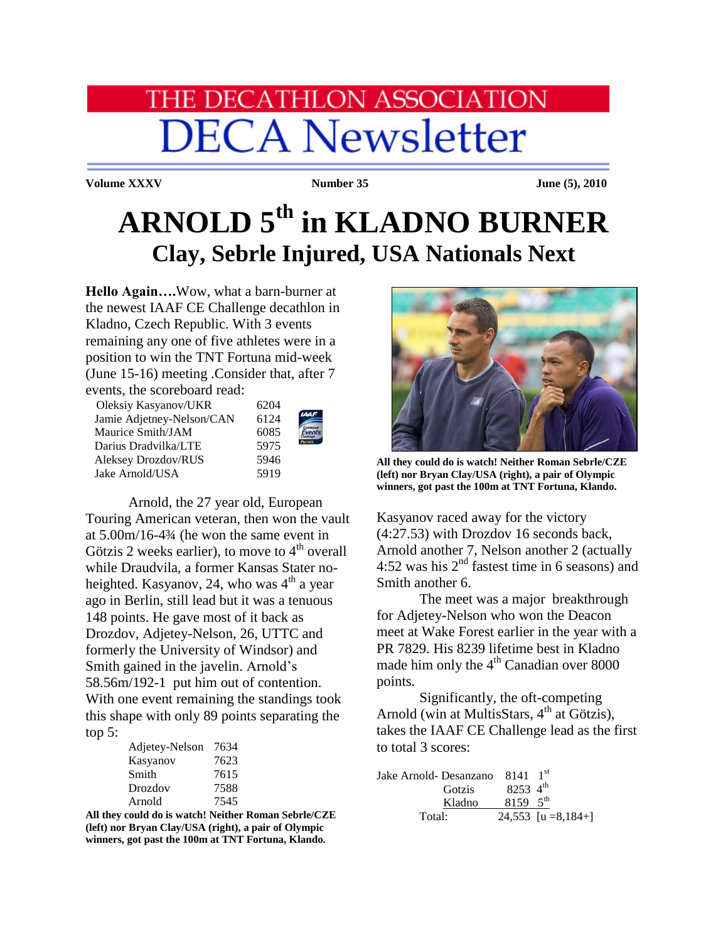# **IE DECATHLON ASSOCIATION DECA Newsletter**

**Volume XXXV Number 35 Iune (5), 2010** 

## **ARNOLD 5th in KLADNO BURNER Clay, Sebrle Injured, USA Nationals Next**

**Hello Again….**Wow, what a barn-burner at the newest IAAF CE Challenge decathlon in Kladno, Czech Republic. With 3 events remaining any one of five athletes were in a position to win the TNT Fortuna mid-week (June 15-16) meeting .Consider that, after 7 events, the scoreboard read:

 Oleksiy Kasyanov/UKR 6204 Jamie Adjetney-Nelson/CAN 612 Maurice Smith/JAM 608 Darius Dradvilka/LTE 597 Aleksey Drozdov/RUS 594 Jake Arnold/USA 5919

| )4       |                           |
|----------|---------------------------|
| 24       | <b>IAAI</b>               |
| 35       | <i>Combined</i><br>Events |
| 15       | Permit                    |
| ŀб       |                           |
| $\Omega$ |                           |

 Arnold, the 27 year old, European Touring American veteran, then won the vault at 5.00m/16-4¾ (he won the same event in Götzis 2 weeks earlier), to move to  $4<sup>th</sup>$  overall while Draudvila, a former Kansas Stater noheighted. Kasyanov, 24, who was  $4<sup>th</sup>$  a year ago in Berlin, still lead but it was a tenuous 148 points. He gave most of it back as Drozdov, Adjetey-Nelson, 26, UTTC and formerly the University of Windsor) and Smith gained in the javelin. Arnold's 58.56m/192-1 put him out of contention. With one event remaining the standings took this shape with only 89 points separating the top 5:

| Adjetey-Nelson | 7634 |
|----------------|------|
| Kasyanov       | 7623 |
| Smith          | 7615 |
| Drozdov        | 7588 |
| Arnold         | 7545 |

**All they could do is watch! Neither Roman Sebrle/CZE (left) nor Bryan Clay/USA (right), a pair of Olympic winners, got past the 100m at TNT Fortuna, Klando.**



**All they could do is watch! Neither Roman Sebrle/CZE (left) nor Bryan Clay/USA (right), a pair of Olympic winners, got past the 100m at TNT Fortuna, Klando.**

Kasyanov raced away for the victory (4:27.53) with Drozdov 16 seconds back, Arnold another 7, Nelson another 2 (actually 4:52 was his  $2<sup>nd</sup>$  fastest time in 6 seasons) and Smith another 6.

The meet was a major breakthrough for Adjetey-Nelson who won the Deacon meet at Wake Forest earlier in the year with a PR 7829. His 8239 lifetime best in Kladno made him only the  $4<sup>th</sup>$  Canadian over 8000 points.

Significantly, the oft-competing Arnold (win at MultisStars,  $4<sup>th</sup>$  at Götzis), takes the IAAF CE Challenge lead as the first to total 3 scores:

| Jake Arnold- Desanzano 8141 1 <sup>st</sup> |                      |                       |
|---------------------------------------------|----------------------|-----------------------|
| Gotzis                                      | 8253 $4^{\text{th}}$ |                       |
| Kladno                                      | 8159 $5^{\text{th}}$ |                       |
| Total:                                      |                      | 24,553 $[u = 8,184+]$ |